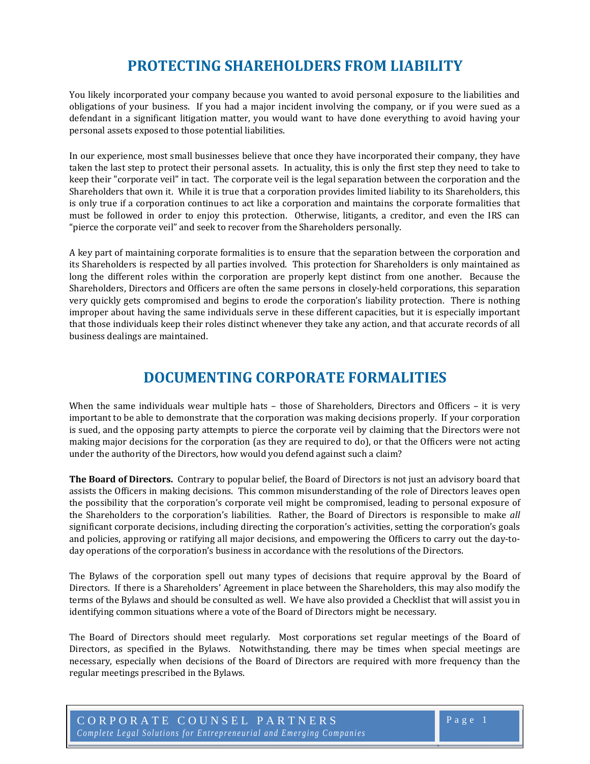#### <sup>0</sup>**PROTECTING SHAREHOLDERS FROM LIABILITY**

You likely incorporated your company because you wanted to avoid personal exposure to the liabilities and obligations of your business. If you had a major incident involving the company, or if you were sued as a defendant in a significant litigation matter, you would want to have done everything to avoid having your personal assets exposed to those potential liabilities.

In our experience, most small businesses believe that once they have incorporated their company, they have taken the last step to protect their personal assets. In actuality, this is only the first step they need to take to keep their "corporate veil" in tact. The corporate veil is the legal separation between the corporation and the Shareholders that own it. While it is true that a corporation provides limited liability to its Shareholders, this is only true if a corporation continues to act like a corporation and maintains the corporate formalities that must be followed in order to enjoy this protection. Otherwise, litigants, a creditor, and even the IRS can "pierce the corporate veil" and seek to recover from the Shareholders personally.

A key part of maintaining corporate formalities is to ensure that the separation between the corporation and its Shareholders is respected by all parties involved. This protection for Shareholders is only maintained as long the different roles within the corporation are properly kept distinct from one another. Because the Shareholders, Directors and Officers are often the same persons in closely‐held corporations, this separation very quickly gets compromised and begins to erode the corporation's liability protection. There is nothing improper about having the same individuals serve in these different capacities, but it is especially important that those individuals keep their roles distinct whenever they take any action, and that accurate records of all business dealings are maintained.

### <sup>1</sup>**DOCUMENTING CORPORATE FORMALITIES**

When the same individuals wear multiple hats - those of Shareholders, Directors and Officers - it is very important to be able to demonstrate that the corporation was making decisions properly. If your corporation is sued, and the opposing party attempts to pierce the corporate veil by claiming that the Directors were not making major decisions for the corporation (as they are required to do), or that the Officers were not acting under the authority of the Directors, how would you defend against such a claim?

**The Board of Directors.** Contrary to popular belief, the Board of Directors is not just an advisory board that assists the Officers in making decisions. This common misunderstanding of the role of Directors leaves open the possibility that the corporation's corporate veil might be compromised, leading to personal exposure of the Shareholders to the corporation's liabilities. Rather, the Board of Directors is responsible to make *all* significant corporate decisions, including directing the corporation's activities, setting the corporation's goals and policies, approving or ratifying all major decisions, and empowering the Officers to carry out the day-today operations of the corporation's business in accordance with the resolutions of the Directors.

The Bylaws of the corporation spell out many types of decisions that require approval by the Board of Directors. If there is a Shareholders' Agreement in place between the Shareholders, this may also modify the terms of the Bylaws and should be consulted as well. We have also provided a Checklist that will assist you in identifying common situations where a vote of the Board of Directors might be necessary.

The Board of Directors should meet regularly. Most corporations set regular meetings of the Board of Directors, as specified in the Bylaws. Notwithstanding, there may be times when special meetings are necessary, especially when decisions of the Board of Directors are required with more frequency than the regular meetings prescribed in the Bylaws.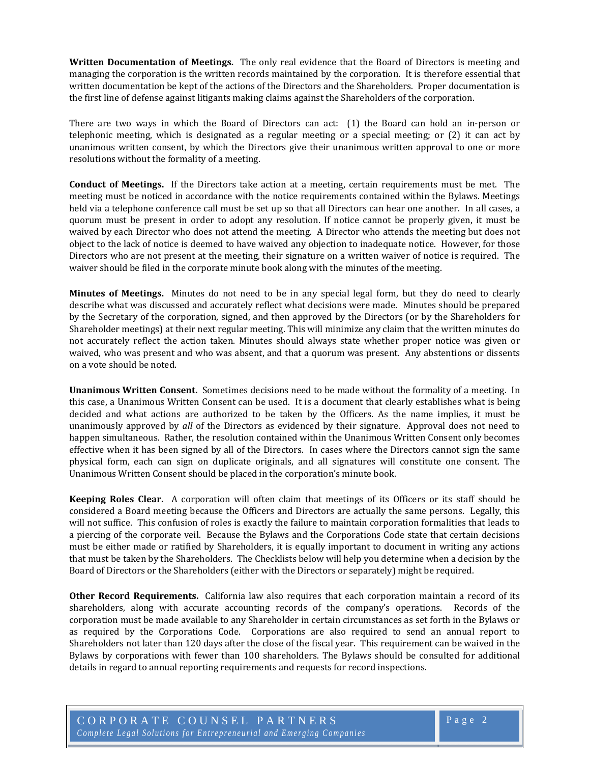**Written Documentation of Meetings.** The only real evidence that the Board of Directors is meeting and managing the corporation is the written records maintained by the corporation. It is therefore essential that written documentation be kept of the actions of the Directors and the Shareholders. Proper documentation is the first line of defense against litigants making claims against the Shareholders of the corporation.

There are two ways in which the Board of Directors can act: (1) the Board can hold an in-person or telephonic meeting, which is designated as a regular meeting or a special meeting; or  $(2)$  it can act by unanimous written consent, by which the Directors give their unanimous written approval to one or more resolutions without the formality of a meeting.

**Conduct of Meetings.** If the Directors take action at a meeting, certain requirements must be met. The meeting must be noticed in accordance with the notice requirements contained within the Bylaws. Meetings held via a telephone conference call must be set up so that all Directors can hear one another. In all cases, a quorum must be present in order to adopt any resolution. If notice cannot be properly given, it must be waived by each Director who does not attend the meeting. A Director who attends the meeting but does not object to the lack of notice is deemed to have waived any objection to inadequate notice. However, for those Directors who are not present at the meeting, their signature on a written waiver of notice is required. The waiver should be filed in the corporate minute book along with the minutes of the meeting.

**Minutes of Meetings.** Minutes do not need to be in any special legal form, but they do need to clearly describe what was discussed and accurately reflect what decisions were made. Minutes should be prepared by the Secretary of the corporation, signed, and then approved by the Directors (or by the Shareholders for Shareholder meetings) at their next regular meeting. This will minimize any claim that the written minutes do not accurately reflect the action taken. Minutes should always state whether proper notice was given or waived, who was present and who was absent, and that a quorum was present. Any abstentions or dissents on a vote should be noted.

**Unanimous Written Consent.** Sometimes decisions need to be made without the formality of a meeting. In this case, a Unanimous Written Consent can be used. It is a document that clearly establishes what is being decided and what actions are authorized to be taken by the Officers. As the name implies, it must be unanimously approved by *all* of the Directors as evidenced by their signature. Approval does not need to happen simultaneous. Rather, the resolution contained within the Unanimous Written Consent only becomes effective when it has been signed by all of the Directors. In cases where the Directors cannot sign the same physical form, each can sign on duplicate originals, and all signatures will constitute one consent. The Unanimous Written Consent should be placed in the corporation's minute book.

**Keeping Roles Clear.**  A corporation will often claim that meetings of its Officers or its staff should be considered a Board meeting because the Officers and Directors are actually the same persons. Legally, this will not suffice. This confusion of roles is exactly the failure to maintain corporation formalities that leads to a piercing of the corporate veil. Because the Bylaws and the Corporations Code state that certain decisions must be either made or ratified by Shareholders, it is equally important to document in writing any actions that must be taken by the Shareholders. The Checklists below will help you determine when a decision by the Board of Directors or the Shareholders (either with the Directors or separately) might be required.

**Other Record Requirements.** California law also requires that each corporation maintain a record of its shareholders, along with accurate accounting records of the company's operations. Records of the corporation must be made available to any Shareholder in certain circumstances as set forth in the Bylaws or as required by the Corporations Code. Corporations are also required to send an annual report to Shareholders not later than 120 days after the close of the fiscal year. This requirement can be waived in the Bylaws by corporations with fewer than 100 shareholders. The Bylaws should be consulted for additional details in regard to annual reporting requirements and requests for record inspections.

CORPORATE COUNSEL PARTNERS *Comp lete Le g al Solutions f or Entre p reneurial and Emer g i n g Comp anies*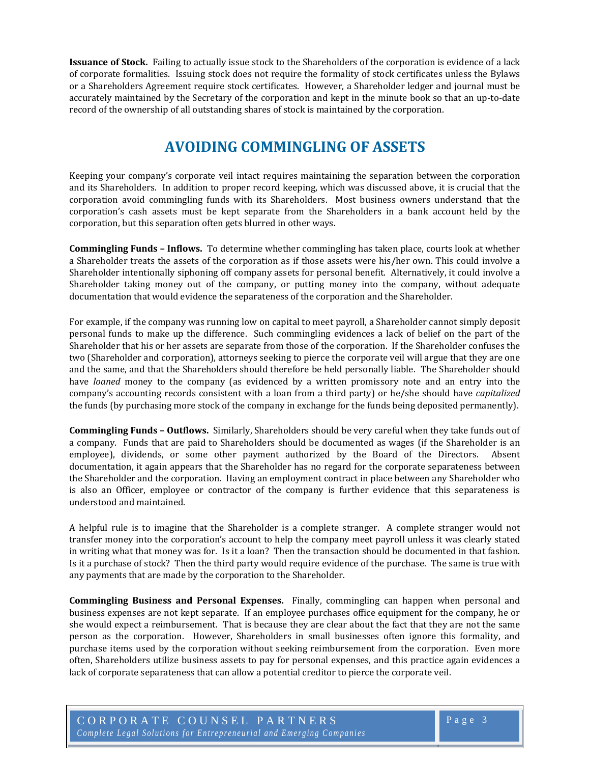**Issuance of Stock.** Failing to actually issue stock to the Shareholders of the corporation is evidence of a lack of corporate formalities. Issuing stock does not require the formality of stock certificates unless the Bylaws or a Shareholders Agreement require stock certificates. However, a Shareholder ledger and journal must be accurately maintained by the Secretary of the corporation and kept in the minute book so that an up-to-date record of the ownership of all outstanding shares of stock is maintained by the corporation.

# <sup>2</sup>**AVOIDING COMMINGLING OF ASSETS**

Keeping your company's corporate veil intact requires maintaining the separation between the corporation and its Shareholders. In addition to proper record keeping, which was discussed above, it is crucial that the corporation avoid commingling funds with its Shareholders. Most business owners understand that the corporation's cash assets must be kept separate from the Shareholders in a bank account held by the corporation, but this separation often gets blurred in other ways.

**Commingling Funds – Inflows.** To determine whether commingling has taken place, courts look at whether a Shareholder treats the assets of the corporation as if those assets were his/her own. This could involve a Shareholder intentionally siphoning off company assets for personal benefit. Alternatively, it could involve a Shareholder taking money out of the company, or putting money into the company, without adequate documentation that would evidence the separateness of the corporation and the Shareholder.

For example, if the company was running low on capital to meet payroll, a Shareholder cannot simply deposit personal funds to make up the difference. Such commingling evidences a lack of belief on the part of the Shareholder that his or her assets are separate from those of the corporation. If the Shareholder confuses the two (Shareholder and corporation), attorneys seeking to pierce the corporate veil will argue that they are one and the same, and that the Shareholders should therefore be held personally liable. The Shareholder should have *loaned* money to the company (as evidenced by a written promissory note and an entry into the company's accounting records consistent with a loan from a third party) or he/she should have *capitalized* the funds (by purchasing more stock of the company in exchange for the funds being deposited permanently).

**Commingling Funds – Outflows.** Similarly, Shareholders should be very careful when they take funds out of a company. Funds that are paid to Shareholders should be documented as wages (if the Shareholder is an employee), dividends, or some other payment authorized by the Board of the Directors. Absent documentation, it again appears that the Shareholder has no regard for the corporate separateness between the Shareholder and the corporation. Having an employment contract in place between any Shareholder who is also an Officer, employee or contractor of the company is further evidence that this separateness is understood and maintained.

A helpful rule is to imagine that the Shareholder is a complete stranger. A complete stranger would not transfer money into the corporation's account to help the company meet payroll unless it was clearly stated in writing what that money was for. Is it a loan? Then the transaction should be documented in that fashion. Is it a purchase of stock? Then the third party would require evidence of the purchase. The same is true with any payments that are made by the corporation to the Shareholder.

**Commingling Business and Personal Expenses.**  Finally, commingling can happen when personal and business expenses are not kept separate. If an employee purchases office equipment for the company, he or she would expect a reimbursement. That is because they are clear about the fact that they are not the same person as the corporation. However, Shareholders in small businesses often ignore this formality, and purchase items used by the corporation without seeking reimbursement from the corporation. Even more often, Shareholders utilize business assets to pay for personal expenses, and this practice again evidences a lack of corporate separateness that can allow a potential creditor to pierce the corporate veil.